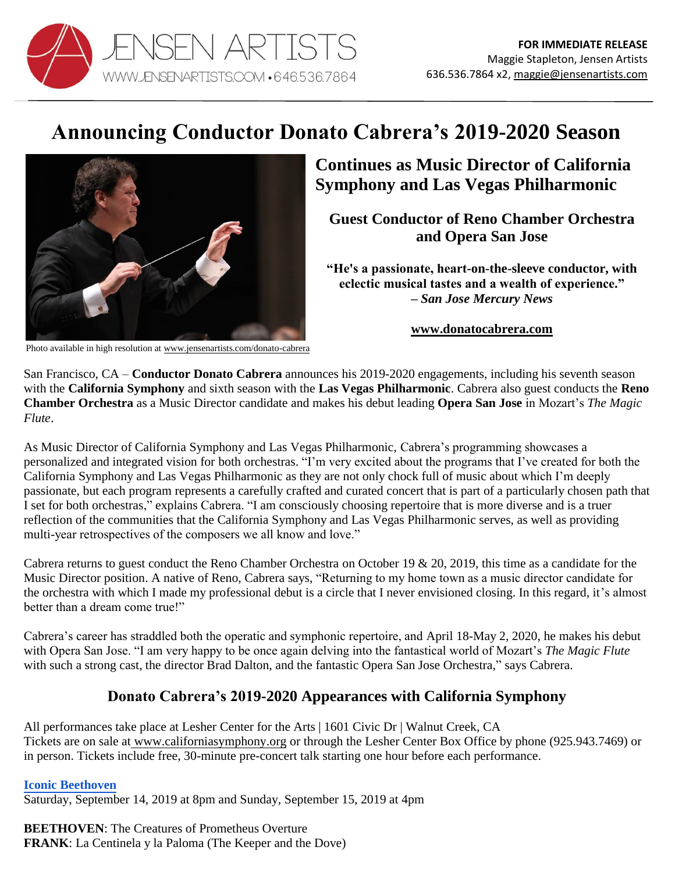

# **Announcing Conductor Donato Cabrera's 2019-2020 Season**



## **Continues as Music Director of California Symphony and Las Vegas Philharmonic**

**Guest Conductor of Reno Chamber Orchestra and Opera San Jose**

**"He's a passionate, heart-on-the-sleeve conductor, with eclectic musical tastes and a wealth of experience." –** *San Jose Mercury News*

#### **[www.donatocabrera.com](http://www.donatocabrera.com/)**

Photo available in high resolution at www.jensenartists.com/donato-cabrera

San Francisco, CA – **Conductor Donato Cabrera** announces his 2019-2020 engagements, including his seventh season with the **California Symphony** and sixth season with the **Las Vegas Philharmonic**. Cabrera also guest conducts the **Reno Chamber Orchestra** as a Music Director candidate and makes his debut leading **Opera San Jose** in Mozart's *The Magic Flute*.

As Music Director of California Symphony and Las Vegas Philharmonic, Cabrera's programming showcases a personalized and integrated vision for both orchestras. "I'm very excited about the programs that I've created for both the California Symphony and Las Vegas Philharmonic as they are not only chock full of music about which I'm deeply passionate, but each program represents a carefully crafted and curated concert that is part of a particularly chosen path that I set for both orchestras," explains Cabrera. "I am consciously choosing repertoire that is more diverse and is a truer reflection of the communities that the California Symphony and Las Vegas Philharmonic serves, as well as providing multi-year retrospectives of the composers we all know and love."

Cabrera returns to guest conduct the Reno Chamber Orchestra on October 19 & 20, 2019, this time as a candidate for the Music Director position. A native of Reno, Cabrera says, "Returning to my home town as a music director candidate for the orchestra with which I made my professional debut is a circle that I never envisioned closing. In this regard, it's almost better than a dream come true!"

Cabrera's career has straddled both the operatic and symphonic repertoire, and April 18-May 2, 2020, he makes his debut with Opera San Jose. "I am very happy to be once again delving into the fantastical world of Mozart's *The Magic Flute* with such a strong cast, the director Brad Dalton, and the fantastic Opera San Jose Orchestra," says Cabrera.

### **Donato Cabrera's 2019-2020 Appearances with California Symphony**

All performances take place at Lesher Center for the Arts | 1601 Civic Dr | Walnut Creek, CA Tickets are on sale at [www.californiasymphony.org](http://www.californiasymphony.org/) or through the Lesher Center Box Office by phone (925.943.7469) or in person. Tickets include free, 30-minute pre-concert talk starting one hour before each performance.

**[Iconic Beethoven](https://www.californiasymphony.org/shows/iconic-beethoven/)** Saturday, September 14, 2019 at 8pm and Sunday, September 15, 2019 at 4pm

**BEETHOVEN**: The Creatures of Prometheus Overture **FRANK**: La Centinela y la Paloma (The Keeper and the Dove)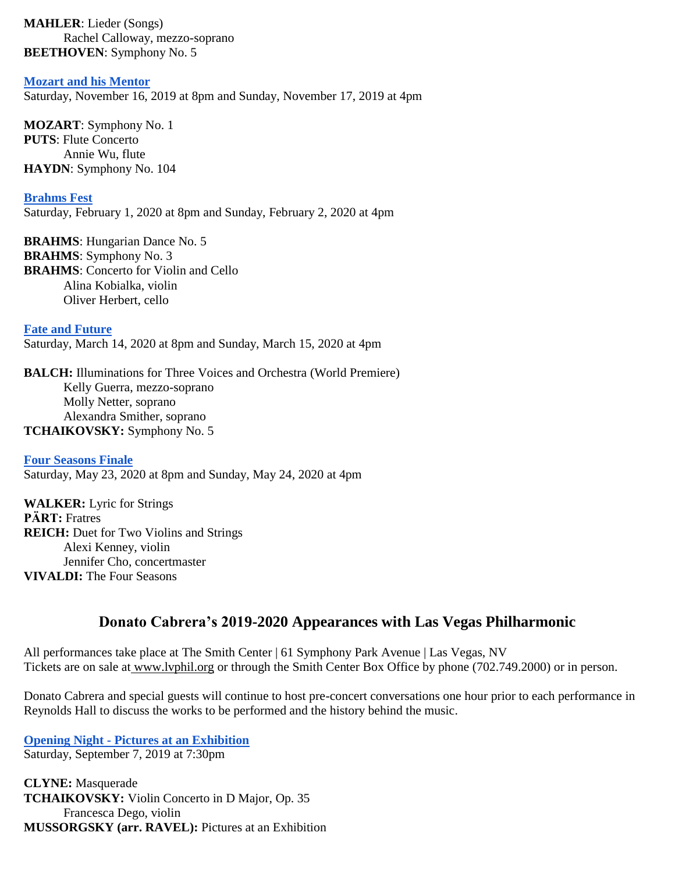**MAHLER**: Lieder (Songs) Rachel Calloway, mezzo-soprano **BEETHOVEN**: Symphony No. 5

**[Mozart and his Mentor](https://www.californiasymphony.org/shows/mozart-and-his-mentor/)**

Saturday, November 16, 2019 at 8pm and Sunday, November 17, 2019 at 4pm

**MOZART**: Symphony No. 1 **PUTS**: Flute Concerto Annie Wu, flute **HAYDN**: Symphony No. 104

**[Brahms Fest](https://www.californiasymphony.org/shows/brahms-fest/)**

Saturday, February 1, 2020 at 8pm and Sunday, February 2, 2020 at 4pm

**BRAHMS**: Hungarian Dance No. 5 **BRAHMS**: Symphony No. 3 **BRAHMS**: Concerto for Violin and Cello Alina Kobialka, violin Oliver Herbert, cello

**[Fate and Future](https://www.californiasymphony.org/shows/fate-and-future/)** Saturday, March 14, 2020 at 8pm and Sunday, March 15, 2020 at 4pm

**BALCH:** Illuminations for Three Voices and Orchestra (World Premiere) Kelly Guerra, mezzo-soprano Molly Netter, soprano Alexandra Smither, soprano **TCHAIKOVSKY:** Symphony No. 5

**[Four Seasons Finale](https://www.californiasymphony.org/shows/four-seasons-finale/)** Saturday, May 23, 2020 at 8pm and Sunday, May 24, 2020 at 4pm

**WALKER:** Lyric for Strings **PӒRT:** Fratres **REICH:** Duet for Two Violins and Strings Alexi Kenney, violin Jennifer Cho, concertmaster **VIVALDI:** The Four Seasons

#### **Donato Cabrera's 2019-2020 Appearances with Las Vegas Philharmonic**

All performances take place at The Smith Center | 61 Symphony Park Avenue | Las Vegas, NV Tickets are on sale at [www.lvphil.org](http://www.lvphil.org/) or through the Smith Center Box Office by phone (702.749.2000) or in person.

Donato Cabrera and special guests will continue to host pre-concert conversations one hour prior to each performance in Reynolds Hall to discuss the works to be performed and the history behind the music.

**[Opening Night](https://www.lvphil.org/concert/opening-night-pictures-at-an-exhibition/) - [Pictures at an Exhibition](https://www.lvphil.org/concert/opening-night-pictures-at-an-exhibition/)** Saturday, September 7, 2019 at 7:30pm

**CLYNE:** Masquerade **TCHAIKOVSKY:** Violin Concerto in D Major, Op. 35 Francesca Dego, violin **MUSSORGSKY (arr. RAVEL):** Pictures at an Exhibition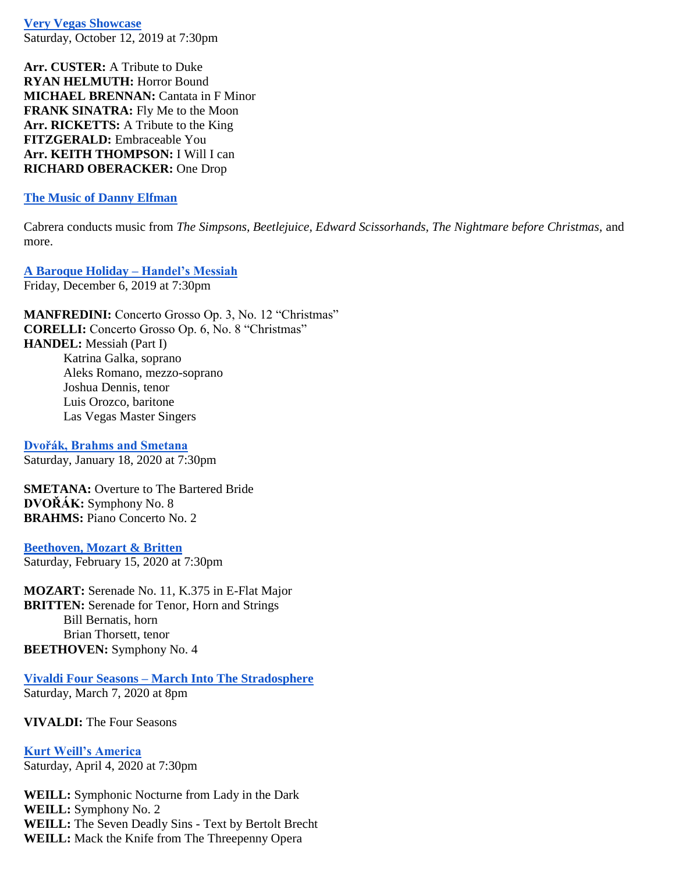**[Very Vegas Showcase](https://www.lvphil.org/concert/very-vegas-showcase/)** Saturday, October 12, 2019 at 7:30pm

**Arr. CUSTER:** A Tribute to Duke **RYAN HELMUTH:** Horror Bound **MICHAEL BRENNAN:** Cantata in F Minor **FRANK SINATRA:** Fly Me to the Moon **Arr. RICKETTS:** A Tribute to the King **FITZGERALD:** Embraceable You **Arr. KEITH THOMPSON:** I Will I can **RICHARD OBERACKER:** One Drop

#### **[The Music of Danny Elfman](https://www.lvphil.org/concert/the-music-of-danny-elfman/)**

Cabrera conducts music from *The Simpsons, Beetlejuice, Edward Scissorhands, The Nightmare before Christmas, and* more.

**[A Baroque Holiday –](https://www.lvphil.org/concert/a-baroque-holiday-handel%CA%BCs-messiah/) Handel's Messiah** Friday, December 6, 2019 at 7:30pm

**MANFREDINI:** Concerto Grosso Op. 3, No. 12 "Christmas" **CORELLI:** Concerto Grosso Op. 6, No. 8 "Christmas" **HANDEL:** Messiah (Part I) Katrina Galka, soprano Aleks Romano, mezzo-soprano Joshua Dennis, tenor Luis Orozco, baritone Las Vegas Master Singers

**[Dvořák, Brahms and Smetana](https://www.lvphil.org/concert/dvorak-brahms-and-smetana/)** Saturday, January 18, 2020 at 7:30pm

**SMETANA:** Overture to The Bartered Bride **DVOŘÁK:** Symphony No. 8 **BRAHMS:** Piano Concerto No. 2

**[Beethoven, Mozart & Britten](https://www.lvphil.org/concert/beethoven-mozart-britten/)** Saturday, February 15, 2020 at 7:30pm

**MOZART:** Serenade No. 11, K.375 in E-Flat Major **BRITTEN:** Serenade for Tenor, Horn and Strings Bill Bernatis, horn Brian Thorsett, tenor **BEETHOVEN:** Symphony No. 4

**Vivaldi Four Seasons – [March Into The Stradosphere](https://www.lvphil.org/concert/vivaldi-four-seasons-march-into-the-stradosphere/)** Saturday, March 7, 2020 at 8pm

**VIVALDI:** The Four Seasons

**[Kurt Weill's America](https://www.lvphil.org/concert/kurt-weills-america/)** Saturday, April 4, 2020 at 7:30pm

**WEILL:** Symphonic Nocturne from Lady in the Dark **WEILL:** Symphony No. 2 **WEILL:** The Seven Deadly Sins - Text by Bertolt Brecht **WEILL:** Mack the Knife from The Threepenny Opera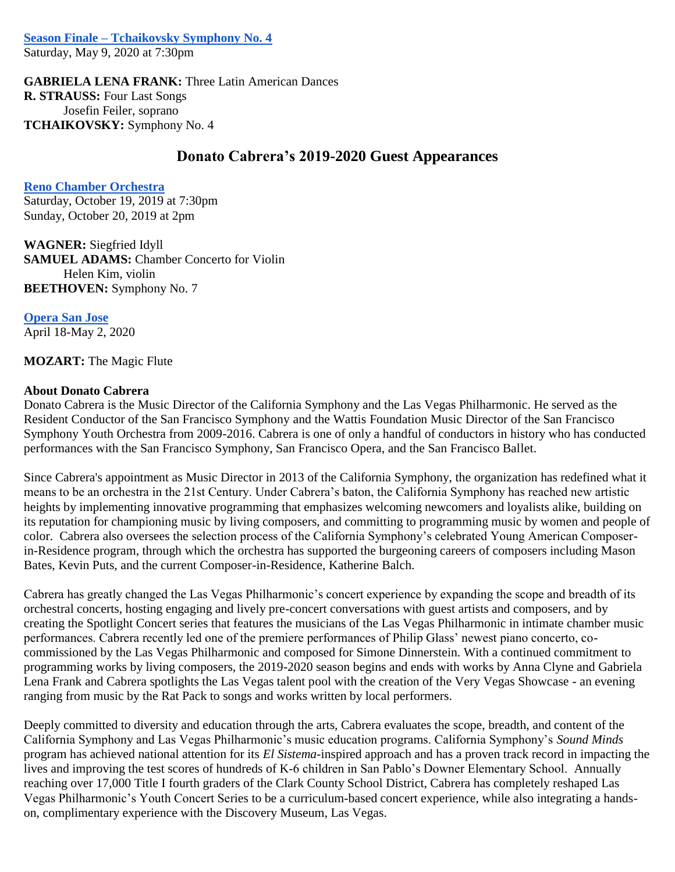**Season Finale – [Tchaikovsky Symphony No. 4](https://www.lvphil.org/concert/season-finale-tchaikovsky-symphony-no-4/)**

Saturday, May 9, 2020 at 7:30pm

**GABRIELA LENA FRANK:** Three Latin American Dances **R. STRAUSS:** Four Last Songs Josefin Feiler, soprano **TCHAIKOVSKY:** Symphony No. 4

#### **Donato Cabrera's 2019-2020 Guest Appearances**

**[Reno Chamber Orchestra](http://www.renochamberorchestra.org/con-moto-2019-20-season/)** 

Saturday, October 19, 2019 at 7:30pm Sunday, October 20, 2019 at 2pm

**WAGNER:** Siegfried Idyll **SAMUEL ADAMS:** Chamber Concerto for Violin Helen Kim, violin **BEETHOVEN:** Symphony No. 7

**[Opera San Jose](https://www.operasj.org/the-magic-flute/)** April 18-May 2, 2020

**MOZART:** The Magic Flute

#### **About Donato Cabrera**

Donato Cabrera is the Music Director of the California Symphony and the Las Vegas Philharmonic. He served as the Resident Conductor of the San Francisco Symphony and the Wattis Foundation Music Director of the San Francisco Symphony Youth Orchestra from 2009-2016. Cabrera is one of only a handful of conductors in history who has conducted performances with the San Francisco Symphony, San Francisco Opera, and the San Francisco Ballet.

Since Cabrera's appointment as Music Director in 2013 of the California Symphony, the organization has redefined what it means to be an orchestra in the 21st Century. Under Cabrera's baton, the California Symphony has reached new artistic heights by implementing innovative programming that emphasizes welcoming newcomers and loyalists alike, building on its reputation for championing music by living composers, and committing to programming music by women and people of color. Cabrera also oversees the selection process of the California Symphony's celebrated Young American Composerin-Residence program, through which the orchestra has supported the burgeoning careers of composers including Mason Bates, Kevin Puts, and the current Composer-in-Residence, Katherine Balch.

Cabrera has greatly changed the Las Vegas Philharmonic's concert experience by expanding the scope and breadth of its orchestral concerts, hosting engaging and lively pre-concert conversations with guest artists and composers, and by creating the Spotlight Concert series that features the musicians of the Las Vegas Philharmonic in intimate chamber music performances. Cabrera recently led one of the premiere performances of Philip Glass' newest piano concerto, cocommissioned by the Las Vegas Philharmonic and composed for Simone Dinnerstein. With a continued commitment to programming works by living composers, the 2019-2020 season begins and ends with works by Anna Clyne and Gabriela Lena Frank and Cabrera spotlights the Las Vegas talent pool with the creation of the Very Vegas Showcase - an evening ranging from music by the Rat Pack to songs and works written by local performers.

Deeply committed to diversity and education through the arts, Cabrera evaluates the scope, breadth, and content of the California Symphony and Las Vegas Philharmonic's music education programs. California Symphony's *Sound Minds* program has achieved national attention for its *El Sistema*-inspired approach and has a proven track record in impacting the lives and improving the test scores of hundreds of K-6 children in San Pablo's Downer Elementary School. Annually reaching over 17,000 Title I fourth graders of the Clark County School District, Cabrera has completely reshaped Las Vegas Philharmonic's Youth Concert Series to be a curriculum-based concert experience, while also integrating a handson, complimentary experience with the Discovery Museum, Las Vegas.